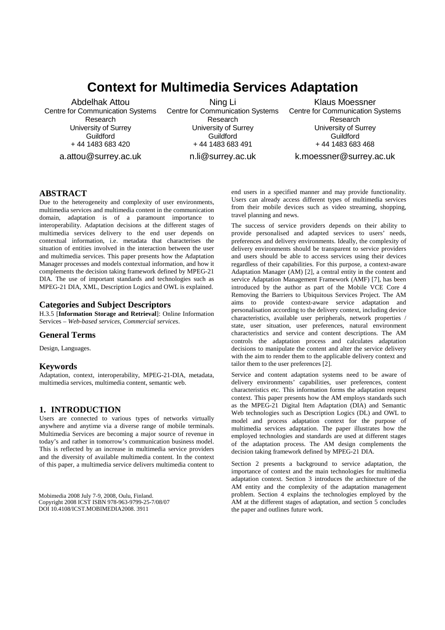# **Context for Multimedia Services Adaptation**

Abdelhak Attou Centre for Communication Systems Research University of Surrey **Guildford** + 44 1483 683 420

a.attou@surrey.ac.uk

Ning Li Centre for Communication Systems Research University of Surrey **Guildford** + 44 1483 683 491

n.li@surrey.ac.uk

Klaus Moessner Centre for Communication Systems Research University of Surrey **Guildford** + 44 1483 683 468

k.moessner@surrey.ac.uk

## **ABSTRACT**

Due to the heterogeneity and complexity of user environments, multimedia services and multimedia content in the communication domain, adaptation is of a paramount importance to interoperability. Adaptation decisions at the different stages of multimedia services delivery to the end user depends on contextual information, i.e. metadata that characterises the situation of entities involved in the interaction between the user and multimedia services. This paper presents how the Adaptation Manager processes and models contextual information, and how it complements the decision taking framework defined by MPEG-21 DIA. The use of important standards and technologies such as MPEG-21 DIA, XML, Description Logics and OWL is explained.

#### **Categories and Subject Descriptors**

H.3.5 [**Information Storage and Retrieval**]: Online Information Services – *Web-based services, Commercial services*.

#### **General Terms**

Design, Languages.

#### **Keywords**

Adaptation, context, interoperability, MPEG-21-DIA, metadata, multimedia services, multimedia content, semantic web.

## **1. INTRODUCTION**

Users are connected to various types of networks virtually anywhere and anytime via a diverse range of mobile terminals. Multimedia Services are becoming a major source of revenue in today's and rather in tomorrow's communication business model. This is reflected by an increase in multimedia service providers and the diversity of available multimedia content. In the context of this paper, a multimedia service delivers multimedia content to

Mobimedia 2008 July 7-9, 2008, Oulu, Finland. not made or distributed for profit or commercial advantage and that Copyright 2008 ICST ISBN 978-963-9799-25-7/08/07  $\overline{DOI}$  10.4108/ICST.MOBIMEDIA2008. 3911

end users in a specified manner and may provide functionality. Users can already access different types of multimedia services from their mobile devices such as video streaming, shopping, travel planning and news.

The success of service providers depends on their ability to provide personalised and adapted services to users' needs, preferences and delivery environments. Ideally, the complexity of delivery environments should be transparent to service providers and users should be able to access services using their devices regardless of their capabilities. For this purpose, a context-aware Adaptation Manager (AM) [2], a central entity in the content and service Adaptation Management Framework (AMF) [7], has been introduced by the author as part of the Mobile VCE Core 4 Removing the Barriers to Ubiquitous Services Project. The AM aims to provide context-aware service adaptation and personalisation according to the delivery context, including device characteristics, available user peripherals, network properties / state, user situation, user preferences, natural environment characteristics and service and content descriptions. The AM controls the adaptation process and calculates adaptation decisions to manipulate the content and alter the service delivery with the aim to render them to the applicable delivery context and tailor them to the user preferences [2].

Service and content adaptation systems need to be aware of delivery environments' capabilities, user preferences, content characteristics etc. This information forms the adaptation request context. This paper presents how the AM employs standards such as the MPEG-21 Digital Item Adaptation (DIA) and Semantic Web technologies such as Description Logics (DL) and OWL to model and process adaptation context for the purpose of multimedia services adaptation. The paper illustrates how the employed technologies and standards are used at different stages of the adaptation process. The AM design complements the decision taking framework defined by MPEG-21 DIA.

Section 2 presents a background to service adaptation, the importance of context and the main technologies for multimedia adaptation context. Section 3 introduces the architecture of the AM entity and the complexity of the adaptation management problem. Section 4 explains the technologies employed by the AM at the different stages of adaptation, and section 5 concludes the paper and outlines future work.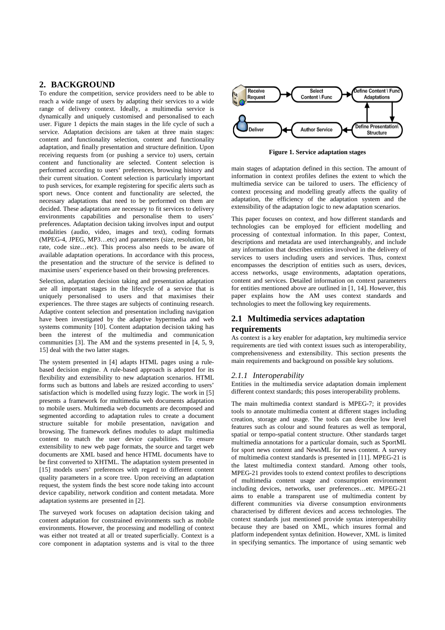# **2. BACKGROUND**

To endure the competition, service providers need to be able to reach a wide range of users by adapting their services to a wide range of delivery context. Ideally, a multimedia service is dynamically and uniquely customised and personalised to each user. Figure 1 depicts the main stages in the life cycle of such a service. Adaptation decisions are taken at three main stages: content and functionality selection, content and functionality adaptation, and finally presentation and structure definition. Upon receiving requests from (or pushing a service to) users, certain content and functionality are selected. Content selection is performed according to users' preferences, browsing history and their current situation. Content selection is particularly important to push services, for example registering for specific alerts such as sport news. Once content and functionality are selected, the necessary adaptations that need to be performed on them are decided. These adaptations are necessary to fit services to delivery environments capabilities and personalise them to users' preferences. Adaptation decision taking involves input and output modalities (audio, video, images and text), coding formats (MPEG-4, JPEG, MP3…etc) and parameters (size, resolution, bit rate, code size…etc). This process also needs to be aware of available adaptation operations. In accordance with this process, the presentation and the structure of the service is defined to maximise users' experience based on their browsing preferences.

Selection, adaptation decision taking and presentation adaptation are all important stages in the lifecycle of a service that is uniquely personalised to users and that maximises their experiences. The three stages are subjects of continuing research. Adaptive content selection and presentation including navigation have been investigated by the adaptive hypermedia and web systems community [10]. Content adaptation decision taking has been the interest of the multimedia and communication communities [3]. The AM and the systems presented in [4, 5, 9, 15] deal with the two latter stages.

The system presented in [4] adapts HTML pages using a rulebased decision engine. A rule-based approach is adopted for its flexibility and extensibility to new adaptation scenarios. HTML forms such as buttons and labels are resized according to users' satisfaction which is modelled using fuzzy logic. The work in [5] presents a framework for multimedia web documents adaptation to mobile users. Multimedia web documents are decomposed and segmented according to adaptation rules to create a document structure suitable for mobile presentation, navigation and browsing. The framework defines modules to adapt multimedia content to match the user device capabilities. To ensure extensibility to new web page formats, the source and target web documents are XML based and hence HTML documents have to be first converted to XHTML. The adaptation system presented in [15] models users' preferences with regard to different content quality parameters in a score tree. Upon receiving an adaptation request, the system finds the best score node taking into account device capability, network condition and content metadata. More adaptation systems are presented in [2].

The surveyed work focuses on adaptation decision taking and content adaptation for constrained environments such as mobile environments. However, the processing and modelling of context was either not treated at all or treated superficially. Context is a core component in adaptation systems and is vital to the three



**Figure 1. Service adaptation stages** 

main stages of adaptation defined in this section. The amount of information in context profiles defines the extent to which the multimedia service can be tailored to users. The efficiency of context processing and modelling greatly affects the quality of adaptation, the efficiency of the adaptation system and the extensibility of the adaptation logic to new adaptation scenarios.

This paper focuses on context, and how different standards and technologies can be employed for efficient modelling and processing of contextual information. In this paper, Context, descriptions and metadata are used interchangeably, and include any information that describes entities involved in the delivery of services to users including users and services. Thus, context encompasses the description of entities such as users, devices, access networks, usage environments, adaptation operations, content and services. Detailed information on context parameters for entities mentioned above are outlined in [1, 14]. However, this paper explains how the AM uses context standards and technologies to meet the following key requirements.

# **2.1 Multimedia services adaptation**

## **requirements**

As context is a key enabler for adaptation, key multimedia service requirements are tied with context issues such as interoperability, comprehensiveness and extensibility. This section presents the main requirements and background on possible key solutions.

## *2.1.1 Interoperability*

Entities in the multimedia service adaptation domain implement different context standards; this poses interoperability problems.

The main multimedia context standard is MPEG-7; it provides tools to annotate multimedia content at different stages including creation, storage and usage. The tools can describe low level features such as colour and sound features as well as temporal, spatial or tempo-spatial content structure. Other standards target multimedia annotations for a particular domain, such as SportML for sport news content and NewsML for news content. A survey of multimedia context standards is presented in [11]. MPEG-21 is the latest multimedia context standard. Among other tools, MPEG-21 provides tools to extend context profiles to descriptions of multimedia content usage and consumption environment including devices, networks, user preferences…etc. MPEG-21 aims to enable a transparent use of multimedia content by different communities via diverse consumption environments characterised by different devices and access technologies. The context standards just mentioned provide syntax interoperability because they are based on XML, which insures formal and platform independent syntax definition. However, XML is limited in specifying semantics. The importance of using semantic web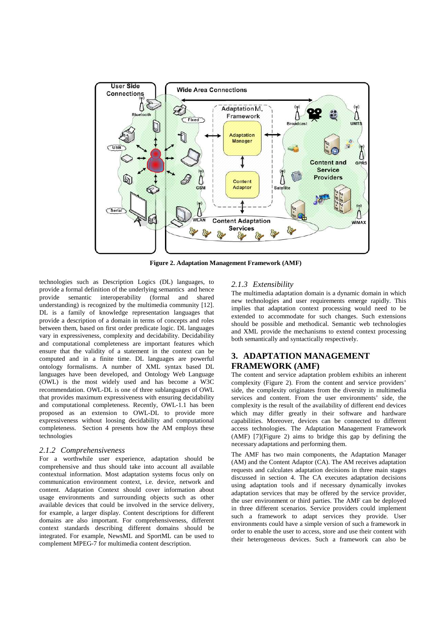

**Figure 2. Adaptation Management Framework (AMF)**

technologies such as Description Logics (DL) languages, to provide a formal definition of the underlying semantics and hence provide semantic interoperability (formal and shared understanding) is recognized by the multimedia community [12]. DL is a family of knowledge representation languages that provide a description of a domain in terms of concepts and roles between them, based on first order predicate logic. DL languages vary in expressiveness, complexity and decidability. Decidability and computational completeness are important features which ensure that the validity of a statement in the context can be computed and in a finite time. DL languages are powerful ontology formalisms. A number of XML syntax based DL languages have been developed, and Ontology Web Language (OWL) is the most widely used and has become a W3C recommendation. OWL-DL is one of three sublanguages of OWL that provides maximum expressiveness with ensuring decidability and computational completeness. Recently, OWL-1.1 has been proposed as an extension to OWL-DL to provide more expressiveness without loosing decidability and computational completeness. Section 4 presents how the AM employs these technologies

#### *2.1.2 Comprehensiveness*

For a worthwhile user experience, adaptation should be comprehensive and thus should take into account all available contextual information. Most adaptation systems focus only on communication environment context, i.e. device, network and content. Adaptation Context should cover information about usage environments and surrounding objects such as other available devices that could be involved in the service delivery, for example, a larger display. Content descriptions for different domains are also important. For comprehensiveness, different context standards describing different domains should be integrated. For example, NewsML and SportML can be used to complement MPEG-7 for multimedia content description.

#### *2.1.3 Extensibility*

The multimedia adaptation domain is a dynamic domain in which new technologies and user requirements emerge rapidly. This implies that adaptation context processing would need to be extended to accommodate for such changes. Such extensions should be possible and methodical. Semantic web technologies and XML provide the mechanisms to extend context processing both semantically and syntactically respectively.

# **3. ADAPTATION MANAGEMENT FRAMEWORK (AMF)**

The content and service adaptation problem exhibits an inherent complexity (Figure 2). From the content and service providers' side, the complexity originates from the diversity in multimedia services and content. From the user environments' side, the complexity is the result of the availability of different end devices which may differ greatly in their software and hardware capabilities. Moreover, devices can be connected to different access technologies. The Adaptation Management Framework (AMF) [7](Figure 2) aims to bridge this gap by defining the necessary adaptations and performing them.

The AMF has two main components, the Adaptation Manager (AM) and the Content Adaptor (CA). The AM receives adaptation requests and calculates adaptation decisions in three main stages discussed in section 4. The CA executes adaptation decisions using adaptation tools and if necessary dynamically invokes adaptation services that may be offered by the service provider, the user environment or third parties. The AMF can be deployed in three different scenarios. Service providers could implement such a framework to adapt services they provide. User environments could have a simple version of such a framework in order to enable the user to access, store and use their content with their heterogeneous devices. Such a framework can also be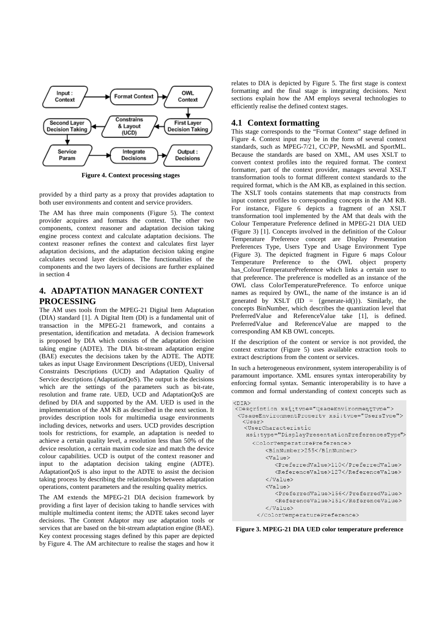

**Figure 4. Context processing stages** 

provided by a third party as a proxy that provides adaptation to both user environments and content and service providers.

The AM has three main components (Figure 5). The context provider acquires and formats the context. The other two components, context reasoner and adaptation decision taking engine process context and calculate adaptation decisions. The context reasoner refines the context and calculates first layer adaptation decisions, and the adaptation decision taking engine calculates second layer decisions. The functionalities of the components and the two layers of decisions are further explained in section 4

# **4. ADAPTATION MANAGER CONTEXT PROCESSING**

The AM uses tools from the MPEG-21 Digital Item Adaptation (DIA) standard [1]. A Digital Item (DI) is a fundamental unit of transaction in the MPEG-21 framework, and contains a presentation, identification and metadata. A decision framework is proposed by DIA which consists of the adaptation decision taking engine (ADTE). The DIA bit-stream adaptation engine (BAE) executes the decisions taken by the ADTE. The ADTE takes as input Usage Environment Descriptions (UED), Universal Constraints Descriptions (UCD) and Adaptation Quality of Service descriptions (AdaptationQoS). The output is the decisions which are the settings of the parameters such as bit-rate, resolution and frame rate. UED, UCD and AdaptationQoS are defined by DIA and supported by the AM. UED is used in the implementation of the AM KB as described in the next section. It provides description tools for multimedia usage environments including devices, networks and users. UCD provides description tools for restrictions, for example, an adaptation is needed to achieve a certain quality level, a resolution less than 50% of the device resolution, a certain maxim code size and match the device colour capabilities. UCD is output of the context reasoner and input to the adaptation decision taking engine (ADTE). AdaptationQoS is also input to the ADTE to assist the decision taking process by describing the relationships between adaptation operations, content parameters and the resulting quality metrics.

The AM extends the MPEG-21 DIA decision framework by providing a first layer of decision taking to handle services with multiple multimedia content items; the ADTE takes second layer decisions. The Content Adaptor may use adaptation tools or services that are based on the bit-stream adaptation engine (BAE). Key context processing stages defined by this paper are depicted by Figure 4. The AM architecture to realise the stages and how it

relates to DIA is depicted by Figure 5. The first stage is context formatting and the final stage is integrating decisions. Next sections explain how the AM employs several technologies to efficiently realise the defined context stages.

### **4.1 Context formatting**

This stage corresponds to the "Format Context" stage defined in Figure 4. Context input may be in the form of several context standards, such as MPEG-7/21, CC\PP, NewsML and SportML. Because the standards are based on XML, AM uses XSLT to convert context profiles into the required format. The context formatter, part of the context provider, manages several XSLT transformation tools to format different context standards to the required format, which is the AM KB, as explained in this section. The XSLT tools contains statements that map constructs from input context profiles to corresponding concepts in the AM KB. For instance, Figure 6 depicts a fragment of an XSLT transformation tool implemented by the AM that deals with the Colour Temperature Preference defined in MPEG-21 DIA UED (Figure 3) [1]. Concepts involved in the definition of the Colour Temperature Preference concept are Display Presentation Preferences Type, Users Type and Usage Environment Type (Figure 3). The depicted fragment in Figure 6 maps Colour Temperature Preference to the OWL object property has\_ColourTemperaturePreference which links a certain user to that preference. The preference is modelled as an instance of the OWL class ColorTemperaturePreference. To enforce unique names as required by OWL, the name of the instance is an id generated by XSLT (ID = {generate-id()}). Similarly, the concepts BinNumber, which describes the quantization level that PreferredValue and ReferenceValue take [1], is defined. PreferredValue and ReferenceValue are mapped to the corresponding AM KB OWL concepts.

If the description of the content or service is not provided, the context extractor (Figure 5) uses available extraction tools to extract descriptions from the content or services.

In such a heterogeneous environment, system interoperability is of paramount importance. XML ensures syntax interoperability by enforcing formal syntax. Semantic interoperability is to have a common and formal understanding of context concepts such as

```
<DTA>
<br>>><br><Description_xsi:tvpe="UsageEnvironmentTvpe">
 <UsageEnvironmentProperty xsi:type="UsersType">
  <User>
   <HearCharactoristic
   xsi:type="DisplayPresentationPreferencesType">
      <ColorTemperaturePreference>
          <BinNumber>255</BinNumber>
          \sqrt{V}alue\geq<PreferredValue>110</PreferredValue>
            <ReferenceValue>127</ReferenceValue>
          \langle/Value>
          \sqrt{V}alue>
            <PreferredValue>156</PreferredValue>
            <ReferenceValue>151</ReferenceValue>
          \langle/Value>
       </ColorTemperaturePreference>
```
**Figure 3. MPEG-21 DIA UED color temperature preference**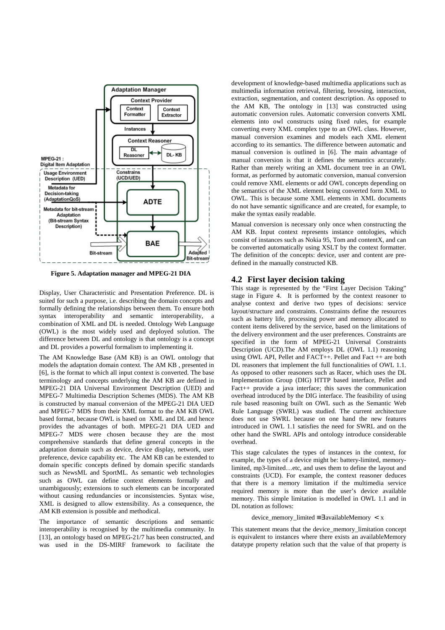

**Figure 5. Adaptation manager and MPEG-21 DIA** 

Display, User Characteristic and Presentation Preference. DL is suited for such a purpose, i.e. describing the domain concepts and formally defining the relationships between them. To ensure both syntax interoperability and semantic interoperability, a combination of XML and DL is needed. Ontology Web Language (OWL) is the most widely used and deployed solution. The difference between DL and ontology is that ontology is a concept and DL provides a powerful formalism to implementing it.

The AM Knowledge Base (AM KB) is an OWL ontology that models the adaptation domain context. The AM KB , presented in [6], is the format to which all input context is converted. The base terminology and concepts underlying the AM KB are defined in MPEG-21 DIA Universal Environment Description (UED) and MPEG-7 Multimedia Description Schemes (MDS). The AM KB is constructed by manual conversion of the MPEG-21 DIA UED and MPEG-7 MDS from their XML format to the AM KB OWL based format, because OWL is based on XML and DL and hence provides the advantages of both. MPEG-21 DIA UED and MPEG-7 MDS were chosen because they are the most comprehensive standards that define general concepts in the adaptation domain such as device, device display, network, user preference, device capability etc. The AM KB can be extended to domain specific concepts defined by domain specific standards such as NewsML and SportML. As semantic web technologies such as OWL can define context elements formally and unambiguously; extensions to such elements can be incorporated without causing redundancies or inconsistencies. Syntax wise, XML is designed to allow extensibility. As a consequence, the AM KB extension is possible and methodical.

The importance of semantic descriptions and semantic interoperability is recognised by the multimedia community. In [13], an ontology based on MPEG-21/7 has been constructed, and was used in the DS-MIRF framework to facilitate the

development of knowledge-based multimedia applications such as multimedia information retrieval, filtering, browsing, interaction, extraction, segmentation, and content description. As opposed to the AM KB, The ontology in [13] was constructed using automatic conversion rules. Automatic conversion converts XML elements into owl constructs using fixed rules, for example converting every XML complex type to an OWL class. However, manual conversion examines and models each XML element according to its semantics. The difference between automatic and manual conversion is outlined in [6]. The main advantage of manual conversion is that it defines the semantics accurately. Rather than merely writing an XML document tree in an OWL format, as performed by automatic conversion, manual conversion could remove XML elements or add OWL concepts depending on the semantics of the XML element being converted form XML to OWL. This is because some XML elements in XML documents do not have semantic significance and are created, for example, to make the syntax easily readable.

Manual conversion is necessary only once when constructing the AM KB. Input context represents instance ontologies, which consist of instances such as Nokia 95, Tom and contentX, and can be converted automatically using XSLT by the context formatter. The definition of the concepts: device, user and content are predefined in the manually constructed KB.

#### **4.2 First layer decision taking**

This stage is represented by the "First Layer Decision Taking" stage in Figure 4. It is performed by the context reasoner to analyse context and derive two types of decisions: service layout/structure and constraints. Constraints define the resources such as battery life, processing power and memory allocated to content items delivered by the service, based on the limitations of the delivery environment and the user preferences. Constraints are specified in the form of MPEG-21 Universal Constraints Description (UCD).The AM employs DL (OWL 1.1) reasoning using OWL API, Pellet and  $FACT++$ . Pellet and  $Fact++$  are both DL reasoners that implement the full functionalities of OWL 1.1. As opposed to other reasoners such as Racer, which uses the DL Implementation Group (DIG) HTTP based interface, Pellet and Fact++ provide a java interface; this saves the communication overhead introduced by the DIG interface. The feasibility of using rule based reasoning built on OWL such as the Semantic Web Rule Language (SWRL) was studied. The current architecture does not use SWRL because on one hand the new features introduced in OWL 1.1 satisfies the need for SWRL and on the other hand the SWRL APIs and ontology introduce considerable overhead.

This stage calculates the types of instances in the context, for example, the types of a device might be: battery-limited, memorylimited, mp3-limited…etc, and uses them to define the layout and constraints (UCD). For example, the context reasoner deduces that there is a memory limitation if the multimedia service required memory is more than the user's device available memory. This simple limitation is modelled in OWL 1.1 and in DL notation as follows:

device\_memory\_limited =  $\exists$  availableMemory < x

This statement means that the device memory limitation concept is equivalent to instances where there exists an availableMemory datatype property relation such that the value of that property is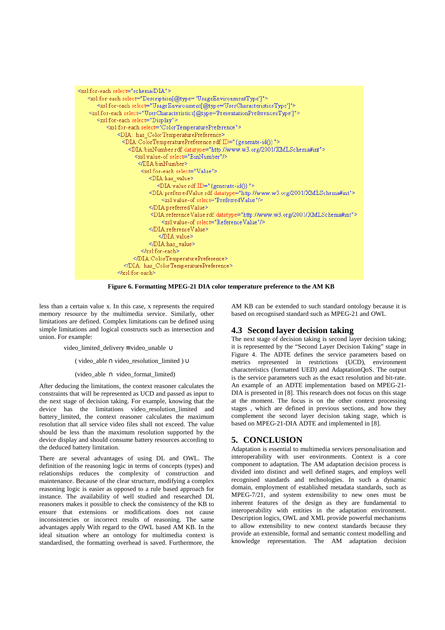

**Figure 6. Formatting MPEG-21 DIA color temperature preference to the AM KB** 

less than a certain value x. In this case, x represents the required memory resource by the multimedia service. Similarly, other limitations are defined. Complex limitations can be defined using simple limitations and logical constructs such as intersection and union. For example:

video\_limited\_delivery ≡ video\_unable ∪

( video\_able ∩ video\_resolution\_limited )  $\cup$ 

 $(\text{video\_able} \cap \text{video\_format\_limited})$ 

After deducing the limitations, the context reasoner calculates the constraints that will be represented as UCD and passed as input to the next stage of decision taking. For example, knowing that the device has the limitations video\_resolution\_limited and battery limited, the context reasoner calculates the maximum resolution that all service video files shall not exceed. The value should be less than the maximum resolution supported by the device display and should consume battery resources according to the deduced battery limitation.

There are several advantages of using DL and OWL. The definition of the reasoning logic in terms of concepts (types) and relationships reduces the complexity of construction and maintenance. Because of the clear structure, modifying a complex reasoning logic is easier as opposed to a rule based approach for instance. The availability of well studied and researched DL reasoners makes it possible to check the consistency of the KB to ensure that extensions or modifications does not cause inconsistencies or incorrect results of reasoning. The same advantages apply With regard to the OWL based AM KB. In the ideal situation where an ontology for multimedia context is standardised, the formatting overhead is saved. Furthermore, the

AM KB can be extended to such standard ontology because it is based on recognised standard such as MPEG-21 and OWL

## **4.3 Second layer decision taking**

The next stage of decision taking is second layer decision taking; it is represented by the "Second Layer Decision Taking" stage in Figure 4. The ADTE defines the service parameters based on metrics represented in restrictions (UCD), environment characteristics (formatted UED) and AdaptationQoS. The output is the service parameters such as the exact resolution and bit-rate. An example of an ADTE implementation based on MPEG-21- DIA is presented in [8]. This research does not focus on this stage at the moment. The focus is on the other context processing stages , which are defined in previous sections, and how they complement the second layer decision taking stage, which is based on MPEG-21-DIA ADTE and implemented in [8].

# **5. CONCLUSION**

Adaptation is essential to multimedia services personalisation and interoperability with user environments. Context is a core component to adaptation. The AM adaptation decision process is divided into distinct and well defined stages, and employs well recognised standards and technologies. In such a dynamic domain, employment of established metadata standards, such as MPEG-7/21, and system extensibility to new ones must be inherent features of the design as they are fundamental to interoperability with entities in the adaptation environment. Description logics, OWL and XML provide powerful mechanisms to allow extensibility to new context standards because they provide an extensible, formal and semantic context modelling and knowledge representation. The AM adaptation decision